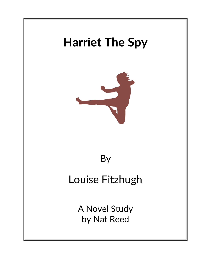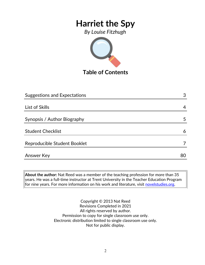*By Louise Fitzhugh*



**Table of Contents**

| <b>Suggestions and Expectations</b> | 3  |
|-------------------------------------|----|
|                                     |    |
| List of Skills                      | 4  |
|                                     |    |
| Synopsis / Author Biography         | 5  |
|                                     |    |
| <b>Student Checklist</b>            | 6  |
| Reproducible Student Booklet        |    |
| Answer Key                          | 80 |
|                                     |    |

**About the author:** Nat Reed was a member of the teaching profession for more than 35 years. He was a full-time instructor at Trent University in the Teacher Education Program for nine years. For more information on his work and literature, visit [novelstudies.org.](http://www.novelstudies.org/)

> Copyright © 2013 Nat Reed Revisions Completed in 2021 All rights reserved by author. Permission to copy for single classroom use only. Electronic distribution limited to single classroom use only. Not for public display.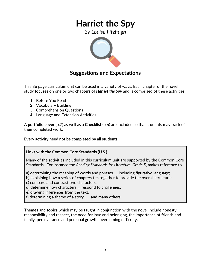*By Louise Fitzhugh*



### **Suggestions and Expectations**

This 86 page curriculum unit can be used in a variety of ways. Each chapter of the novel study focuses on <u>one</u> or <u>two</u> chapters of **Harriet the Spy** and is comprised of these activities:

- 1. Before You Read
- 2. Vocabulary Building
- 3. Comprehension Questions
- 4. Language and Extension Activities

A **portfolio cover** (p.7) as well as a **Checklist** (p.6) are included so that students may track of their completed work.

**Every activity need not be completed by all students.** 

### **Links with the Common Core Standards (U.S.)**

Many of the activities included in this curriculum unit are supported by the Common Core Standards. For instance the *Reading Standards for Literature, Grade 5*, makes reference to

a) determining the meaning of words and phrases. . . including figurative language;

b) explaining how a series of chapters fits together to provide the overall structure;

c) compare and contrast two characters;

d) determine how characters … respond to challenges;

e) drawing inferences from the text;

f) determining a theme of a story . . . **and many others.**

**Themes** and **topics** which may be taught in conjunction with the novel include honesty, responsibility and respect, the need for love and belonging, the importance of friends and family, perseverance and personal growth, overcoming difficulty.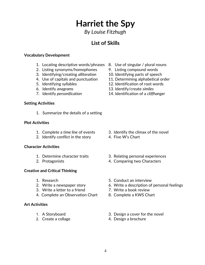*By Louise Fitzhugh*

## **List of Skills**

#### **Vocabulary Development**

- 1. Locating descriptive words/phrases 8. Use of singular / plural nouns
- 2. Listing synonyms/homophones 9. Listing compound words
- 3. Identifying/creating *alliteration* 10. Identifying parts of speech
- 
- 
- 
- 

#### **Setting Activities**

1. Summarize the details of a setting

#### **Plot Activities**

- 
- 2. Identify conflict in the story 4. Five W's Chart

#### **Character Activities**

- 
- 

#### **Creative and Critical Thinking**

- 
- 
- 3. Write a letter to a friend **7.** Write a book review
- 4. Complete an Observation Chart 8. Complete a KWS Chart

#### **Art Activities**

- 
- 
- 
- 
- 
- 4. Use of capitals and punctuation 11. Determining alphabetical order
- 5. Identifying syllables 12. Identification of root words
- 6. Identify *anagrams* 13. Identify/create *similes*
- 7. Identify *personification* 14. Identification of a *cliffhanger*

- 1. Complete a *time line* of events 3. Identify the climax of the novel
	-
- 1. Determine character traits 3. Relating personal experiences
- 2. Protagonists 4. Comparing two Characters
- 1. Research 6. Conduct an interview
- 2. Write a newspaper story 6. Write a description of personal feelings
	-
	-
- 1. A Storyboard 3. Design a cover for the novel
- 2. Create a collage 4. Design a brochure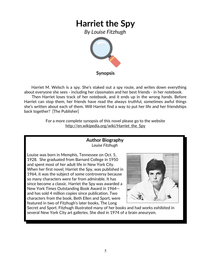*By Louise Fitzhugh*



**Synopsis**

 Harriet M. Welsch is a spy. She's staked out a spy route, and writes down everything about everyone she sees - including her classmates and her best friends - in her notebook.

 Then Harriet loses track of her notebook, and it ends up in the wrong hands. Before Harriet can stop them, her friends have read the always truthful, sometimes awful things she's written about each of them. Will Harriet find a way to put her life and her friendships back together? [The Publisher]

> For a more complete synopsis of this novel please go to the website http://en.wikipedia.org/wiki/Harriet the Spy

#### **Author Biography** *Louise Fitzhugh*

Louise was born in Memphis, Tennessee on Oct. 5, 1928. She graduated from [Barnard College](http://en.wikipedia.org/wiki/Barnard_College) in 1950 and spent most of her adult life in [New York City.](http://en.wikipedia.org/wiki/New_York_City) When her first novel, [Harriet the Spy,](http://en.wikipedia.org/wiki/Harriet_the_Spy) was published in 1964, it was the subject of some controversy because so many characters were far from admirable. It has since become a classic. Harriet the Spy was awarded a New York Times Outstanding Book Award in 1964 and has sold 4 million copies since publication. Two characters from the book, Beth Ellen and Sport, were featured in two of Fitzhugh's later books, The Long



Secret and Sport. Fitzhugh illustrated many of her books and had works exhibited in several New York City art galleries. She died in 1974 of a [brain aneurysm.](http://en.wikipedia.org/wiki/Brain_aneurysm)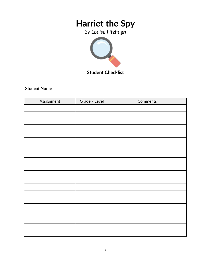*By Louise Fitzhugh*



**Student Checklist**

Student Name

| Assignment | Grade / Level | Comments |
|------------|---------------|----------|
|            |               |          |
|            |               |          |
|            |               |          |
|            |               |          |
|            |               |          |
|            |               |          |
|            |               |          |
|            |               |          |
|            |               |          |
|            |               |          |
|            |               |          |
|            |               |          |
|            |               |          |
|            |               |          |
|            |               |          |
|            |               |          |
|            |               |          |
|            |               |          |
|            |               |          |
|            |               |          |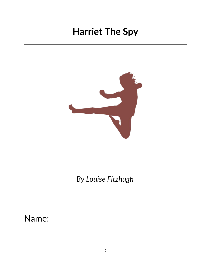

*By Louise Fitzhugh*

Name: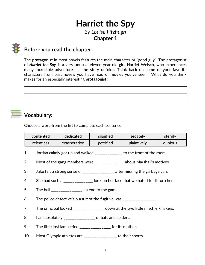*By Louise Fitzhugh* **Chapter 1**



### **Before you read the chapter**:

The **protagonist** in most novels features the main character or "good guy". The protagonist of *Harriet the Spy* is a very unusual eleven-year-old girl, Harriet Welsch, who experiences many incredible adventures as the story unfolds. Think back on some of your favorite characters from past novels you have read or movies you've seen. What do you think makes for an especially interesting **protagonist**?

## **Vocabulary:**

Choose a word from the list to complete each sentence.

| contented  | dedicated    | signified | sedately    | sterniv |
|------------|--------------|-----------|-------------|---------|
| relentless | exasperation | petrified | plaintively | dubious |

- 1. Jordan calmly got up and walked \_\_\_\_\_\_\_\_\_\_\_\_\_\_\_ to the front of the room.
- 2. Most of the gang members were \_\_\_\_\_\_\_\_\_\_\_\_\_\_\_\_ about Marshall's motives.
- 3. Jake felt a strong sense of \_\_\_\_\_\_\_\_\_\_\_\_\_\_\_\_\_\_ after missing the garbage can.
- 4. She had such a such a subset on her face that we hated to disturb her.
- 5. The bell  $\frac{1}{2}$  an end to the game.
- 6. The police detective's pursuit of the fugitive was  $\blacksquare$
- 7. The principal looked \_\_\_\_\_\_\_\_\_\_\_\_\_\_\_\_\_ down at the two little mischief-makers.
- 8. I am absolutely \_\_\_\_\_\_\_\_\_\_\_\_\_\_\_\_\_\_\_\_\_\_ of bats and spiders.
- 9. The little lost lamb cried \_\_\_\_\_\_\_\_\_\_\_\_\_\_\_\_\_ for its mother.
- 10. Most Olympic athletes are \_\_\_\_\_\_\_\_\_\_\_\_\_\_\_\_\_ to their sports.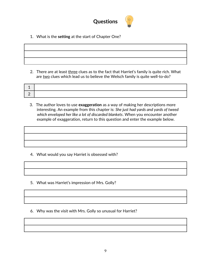

1. What is the **setting** at the start of Chapter One?

2. There are at least three clues as to the fact that Harriet's family is quite rich. What are two clues which lead us to believe the Welsch family is quite well-to-do?

3. The author loves to use **exaggeration** as a way of making her descriptions more interesting. An example from this chapter is: *She just had yards and yards of tweed which enveloped her like a lot of discarded blankets*. When you encounter another example of exaggeration, return to this question and enter the example below.

- 4. What would you say Harriet is obsessed with?
- 5. What was Harriet's impression of Mrs. Golly?
- 6. Why was the visit with Mrs. Golly so unusual for Harriet?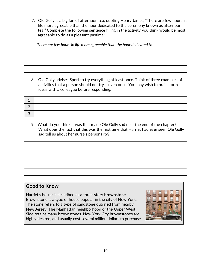7. Ole Golly is a big fan of afternoon tea, quoting Henry James, "There are few hours in life more agreeable than the hour dedicated to the ceremony known as afternoon tea." Complete the following sentence filling in the activity you think would be most agreeable to do as a pleasant pastime:

 *There are few hours in life more agreeable than the hour dedicated to* 

8. Ole Golly advises Sport to try everything at least once. Think of three examples of activities that a person should not try – even once. You may wish to brainstorm ideas with a colleague before responding.

9. What do you think it was that made Ole Golly sad near the end of the chapter? What does the fact that this was the first time that Harriet had ever seen Ole Golly sad tell us about her nurse's personality?

| the control of the control of the control of the control of the control of the control of |  |
|-------------------------------------------------------------------------------------------|--|
|                                                                                           |  |
|                                                                                           |  |
|                                                                                           |  |
|                                                                                           |  |

### **Good to Know**

Harriet's house is described as a three-story **brownstone**. Brownstone is a type of house popular in the city of New York. The stone refers to a type of sandstone quarried from nearby New Jersey. The Manhattan neighborhood of the [Upper West](http://en.wikipedia.org/wiki/Upper_West_Side)  [Side](http://en.wikipedia.org/wiki/Upper_West_Side) retains many brownstones. New York City brownstones are highly desired, and usually cost several million dollars to purchase.

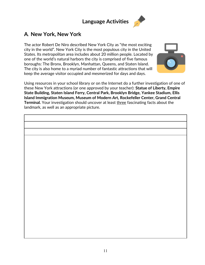## **Language Activities**



### **A***.* **New York, New York**

The actor Robert De Niro described New York City as "the most exciting city in the world". New York City is the most populous city in the United States. Its metropolitan area includes about 20 million people. Located by one of the world's natural harbors the city is comprised of five famous boroughs: [The Bronx,](http://en.wikipedia.org/wiki/The_Bronx) [Brooklyn,](http://en.wikipedia.org/wiki/Brooklyn) [Manhattan,](http://en.wikipedia.org/wiki/Manhattan) [Queens,](http://en.wikipedia.org/wiki/Queens) and [Staten Island.](http://en.wikipedia.org/wiki/Staten_Island) The city is also home to a myriad number of fantastic attractions that will keep the average visitor occupied and mesmerized for days and days.



Using resources in your school library or on the Internet do a further investigation of one of these New York attractions (or one approved by your teacher): **Statue of Liberty, Empire State Building, Staten Island Ferry, Central Park, Brooklyn Bridge, Yankee Stadium, Ellis Island Immigration Museum, Museum of Modern Art, Rockefeller Center, Grand Central Terminal.** Your investigation should uncover at least three fascinating facts about the landmark, as well as an appropriate picture.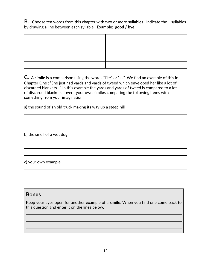**B.** Choose ten words from this chapter with two or more **syllables**. Indicate the syllables by drawing a line between each syllable. **Example**: **good / bye**.

**C***.*<sup>A</sup> **simile** is a comparison using the words "like" or "as". We find an example of this in Chapter One : "She just had yards and yards of tweed which enveloped her like a lot of discarded blankets…" In this example the yards and yards of tweed is compared to a lot of discarded blankets. Invent your own **similes** comparing the following items with something from your imagination:

a) the sound of an old truck making its way up a steep hill

b) the smell of a wet dog

c) your own example

### **Bonus**

Keep your eyes open for another example of a **simile**. When you find one come back to this question and enter it on the lines below.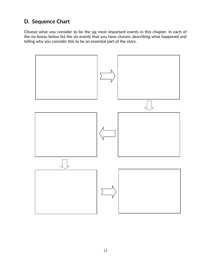## **D. Sequence Chart**

Choose what you consider to be the six most important events in this chapter. In each of the six boxes below list the six events that you have chosen, describing what happened and telling why you consider this to be an essential part of the story.